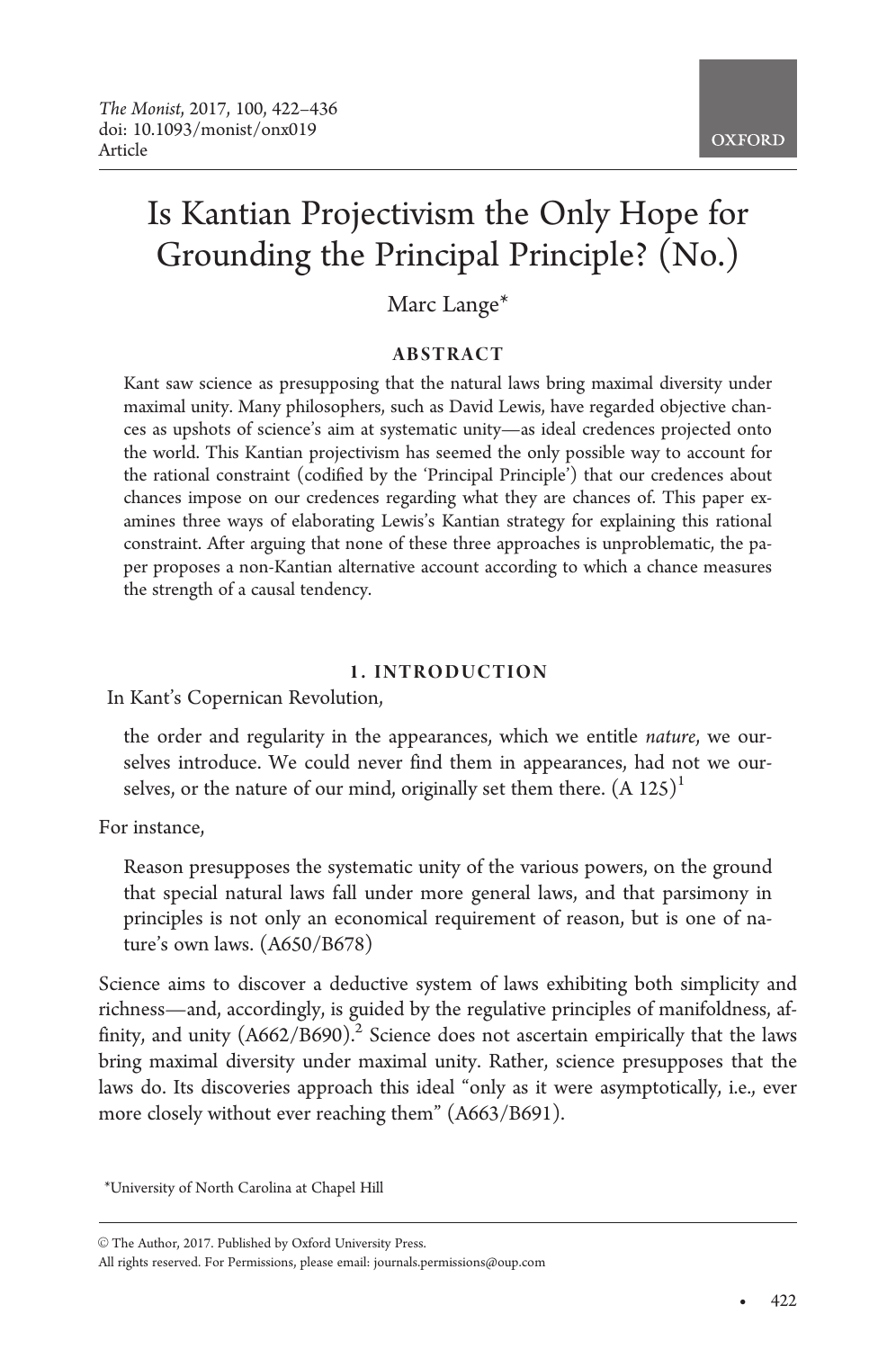# Is Kantian Projectivism the Only Hope for Grounding the Principal Principle? (No.)

## Marc Lange\*

## ABSTRACT

Kant saw science as presupposing that the natural laws bring maximal diversity under maximal unity. Many philosophers, such as David Lewis, have regarded objective chances as upshots of science's aim at systematic unity—as ideal credences projected onto the world. This Kantian projectivism has seemed the only possible way to account for the rational constraint (codified by the 'Principal Principle') that our credences about chances impose on our credences regarding what they are chances of. This paper examines three ways of elaborating Lewis's Kantian strategy for explaining this rational constraint. After arguing that none of these three approaches is unproblematic, the paper proposes a non-Kantian alternative account according to which a chance measures the strength of a causal tendency.

## 1. INTRODUCTION

In Kant's Copernican Revolution,

the order and regularity in the appearances, which we entitle nature, we ourselves introduce. We could never find them in appearances, had not we ourselves, or the nature of our mind, originally set them there.  $(A 125)^{1}$ 

For instance,

Reason presupposes the systematic unity of the various powers, on the ground that special natural laws fall under more general laws, and that parsimony in principles is not only an economical requirement of reason, but is one of nature's own laws. (A650/B678)

Science aims to discover a deductive system of laws exhibiting both simplicity and richness—and, accordingly, is guided by the regulative principles of manifoldness, affinity, and unity  $(A662/B690)^2$ . Science does not ascertain empirically that the laws bring maximal diversity under maximal unity. Rather, science presupposes that the laws do. Its discoveries approach this ideal "only as it were asymptotically, i.e., ever more closely without ever reaching them" (A663/B691).

-

<sup>\*</sup>University of North Carolina at Chapel Hill

<sup>©</sup> The Author, 2017. Published by Oxford University Press.

All rights reserved. For Permissions, please email: journals.permissions@oup.com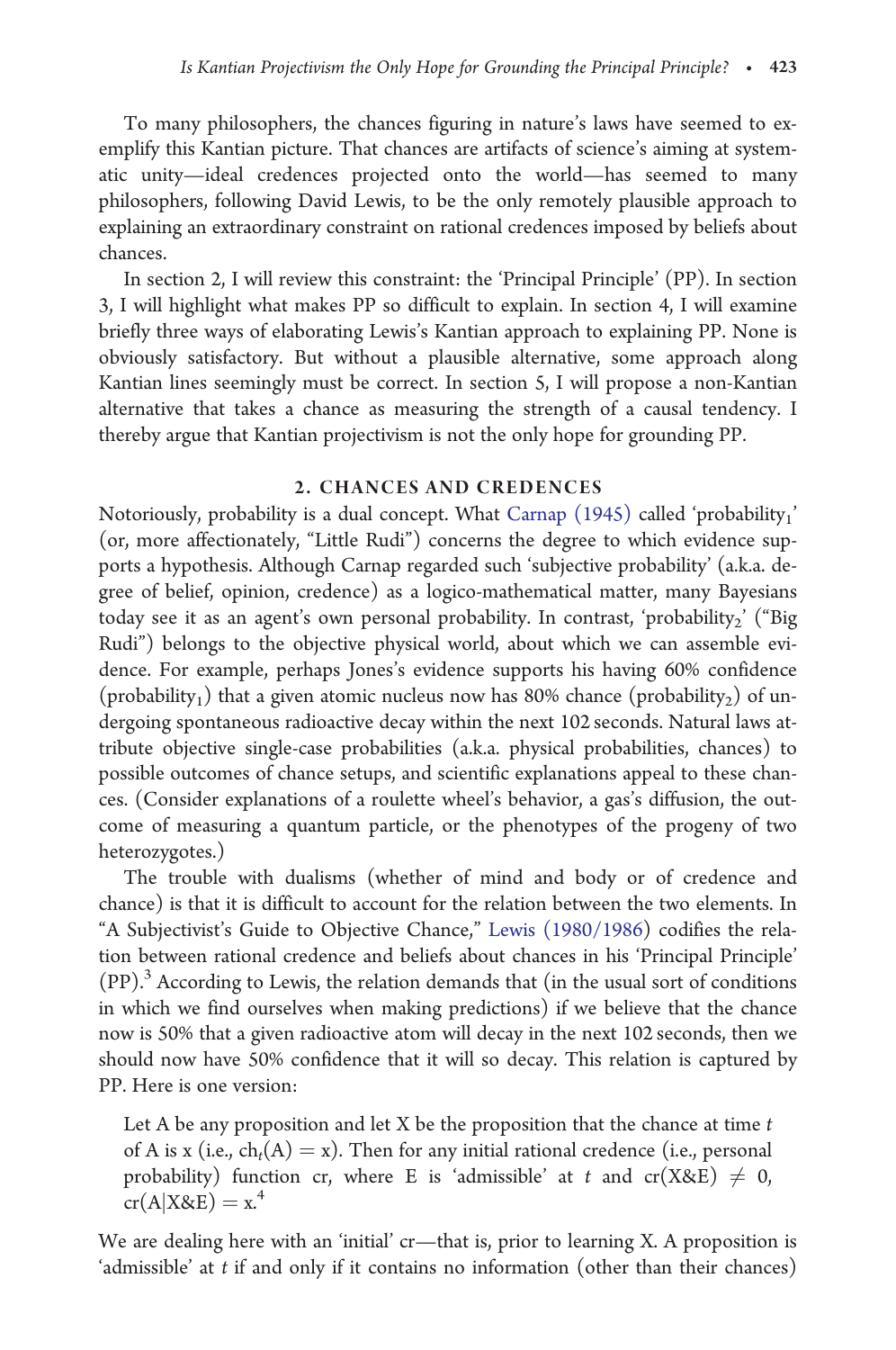To many philosophers, the chances figuring in nature's laws have seemed to exemplify this Kantian picture. That chances are artifacts of science's aiming at systematic unity—ideal credences projected onto the world—has seemed to many philosophers, following David Lewis, to be the only remotely plausible approach to explaining an extraordinary constraint on rational credences imposed by beliefs about chances.

In section 2, I will review this constraint: the 'Principal Principle' (PP). In section 3, I will highlight what makes PP so difficult to explain. In section 4, I will examine briefly three ways of elaborating Lewis's Kantian approach to explaining PP. None is obviously satisfactory. But without a plausible alternative, some approach along Kantian lines seemingly must be correct. In section 5, I will propose a non-Kantian alternative that takes a chance as measuring the strength of a causal tendency. I thereby argue that Kantian projectivism is not the only hope for grounding PP.

#### 2. CHANCES AND CREDENCES

Notoriously, probability is a dual concept. What [Carnap \(1945\)](#page-13-0) called 'probability<sub>1</sub>' (or, more affectionately, "Little Rudi") concerns the degree to which evidence supports a hypothesis. Although Carnap regarded such 'subjective probability' (a.k.a. degree of belief, opinion, credence) as a logico-mathematical matter, many Bayesians today see it as an agent's own personal probability. In contrast, 'probability<sub>2</sub>' ("Big Rudi") belongs to the objective physical world, about which we can assemble evidence. For example, perhaps Jones's evidence supports his having 60% confidence (probability<sub>1</sub>) that a given atomic nucleus now has 80% chance (probability<sub>2</sub>) of undergoing spontaneous radioactive decay within the next 102 seconds. Natural laws attribute objective single-case probabilities (a.k.a. physical probabilities, chances) to possible outcomes of chance setups, and scientific explanations appeal to these chances. (Consider explanations of a roulette wheel's behavior, a gas's diffusion, the outcome of measuring a quantum particle, or the phenotypes of the progeny of two heterozygotes.)

The trouble with dualisms (whether of mind and body or of credence and chance) is that it is difficult to account for the relation between the two elements. In "A Subjectivist's Guide to Objective Chance," [Lewis \(1980/1986](#page-14-0)) codifies the relation between rational credence and beliefs about chances in his 'Principal Principle' (PP).3 According to Lewis, the relation demands that (in the usual sort of conditions in which we find ourselves when making predictions) if we believe that the chance now is 50% that a given radioactive atom will decay in the next 102 seconds, then we should now have 50% confidence that it will so decay. This relation is captured by PP. Here is one version:

Let A be any proposition and let X be the proposition that the chance at time  $t$ of A is x (i.e.,  $ch_t(A) = x$ ). Then for any initial rational credence (i.e., personal probability) function cr, where E is 'admissible' at t and  $cr(X&E) \neq 0$ ,  $cr(A|X&E) = x^4$ 

We are dealing here with an 'initial' cr—that is, prior to learning X. A proposition is 'admissible' at t if and only if it contains no information (other than their chances)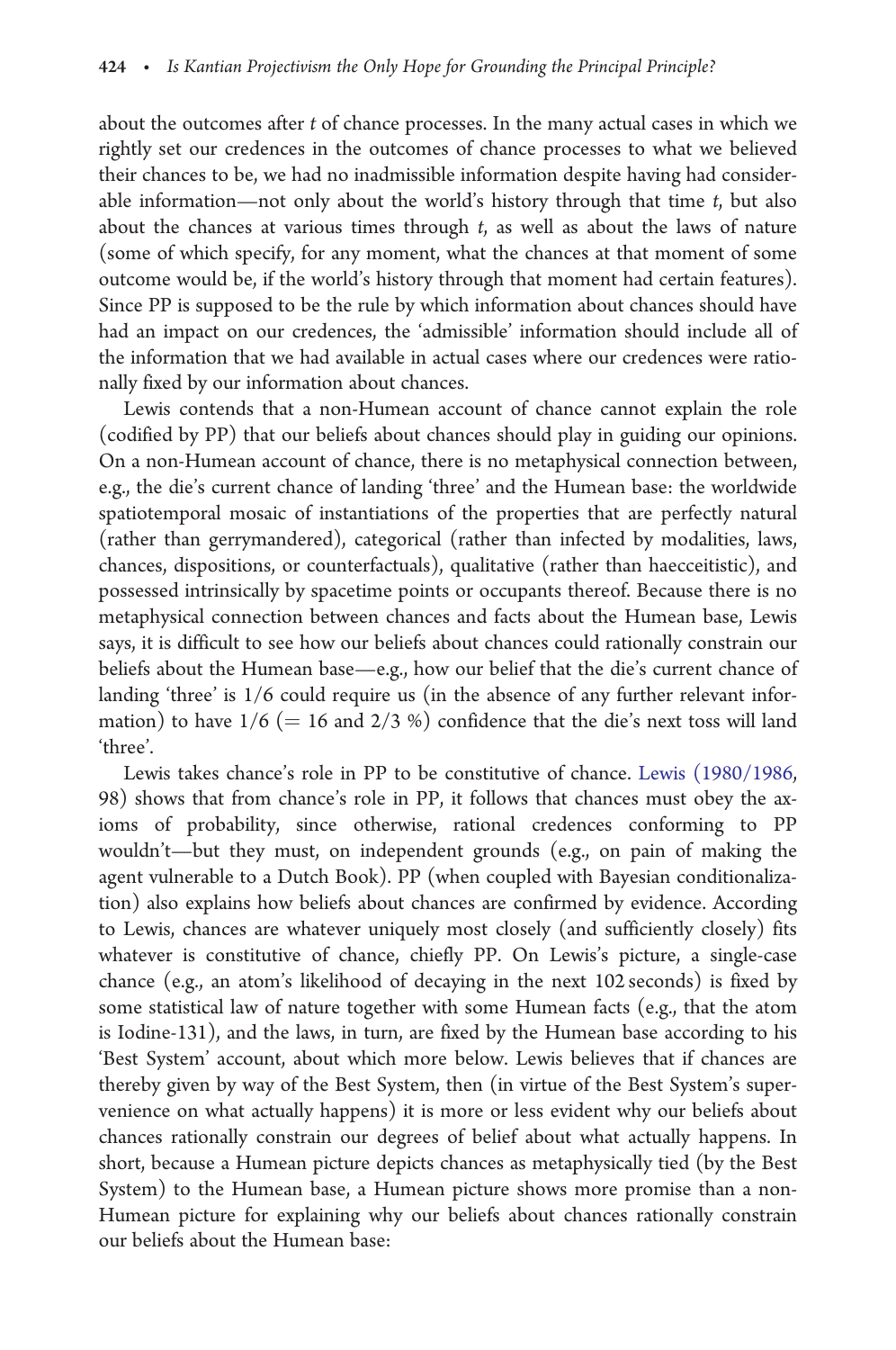about the outcomes after t of chance processes. In the many actual cases in which we rightly set our credences in the outcomes of chance processes to what we believed their chances to be, we had no inadmissible information despite having had considerable information—not only about the world's history through that time  $t$ , but also about the chances at various times through t, as well as about the laws of nature (some of which specify, for any moment, what the chances at that moment of some outcome would be, if the world's history through that moment had certain features). Since PP is supposed to be the rule by which information about chances should have had an impact on our credences, the 'admissible' information should include all of the information that we had available in actual cases where our credences were rationally fixed by our information about chances.

Lewis contends that a non-Humean account of chance cannot explain the role (codified by PP) that our beliefs about chances should play in guiding our opinions. On a non-Humean account of chance, there is no metaphysical connection between, e.g., the die's current chance of landing 'three' and the Humean base: the worldwide spatiotemporal mosaic of instantiations of the properties that are perfectly natural (rather than gerrymandered), categorical (rather than infected by modalities, laws, chances, dispositions, or counterfactuals), qualitative (rather than haecceitistic), and possessed intrinsically by spacetime points or occupants thereof. Because there is no metaphysical connection between chances and facts about the Humean base, Lewis says, it is difficult to see how our beliefs about chances could rationally constrain our beliefs about the Humean base—e.g., how our belief that the die's current chance of landing 'three' is 1/6 could require us (in the absence of any further relevant information) to have  $1/6 (= 16$  and  $2/3$  %) confidence that the die's next toss will land 'three'.

Lewis takes chance's role in PP to be constitutive of chance. [Lewis \(1980/1986](#page-14-0), 98) shows that from chance's role in PP, it follows that chances must obey the axioms of probability, since otherwise, rational credences conforming to PP wouldn't—but they must, on independent grounds (e.g., on pain of making the agent vulnerable to a Dutch Book). PP (when coupled with Bayesian conditionalization) also explains how beliefs about chances are confirmed by evidence. According to Lewis, chances are whatever uniquely most closely (and sufficiently closely) fits whatever is constitutive of chance, chiefly PP. On Lewis's picture, a single-case chance (e.g., an atom's likelihood of decaying in the next 102 seconds) is fixed by some statistical law of nature together with some Humean facts (e.g., that the atom is Iodine-131), and the laws, in turn, are fixed by the Humean base according to his 'Best System' account, about which more below. Lewis believes that if chances are thereby given by way of the Best System, then (in virtue of the Best System's supervenience on what actually happens) it is more or less evident why our beliefs about chances rationally constrain our degrees of belief about what actually happens. In short, because a Humean picture depicts chances as metaphysically tied (by the Best System) to the Humean base, a Humean picture shows more promise than a non-Humean picture for explaining why our beliefs about chances rationally constrain our beliefs about the Humean base: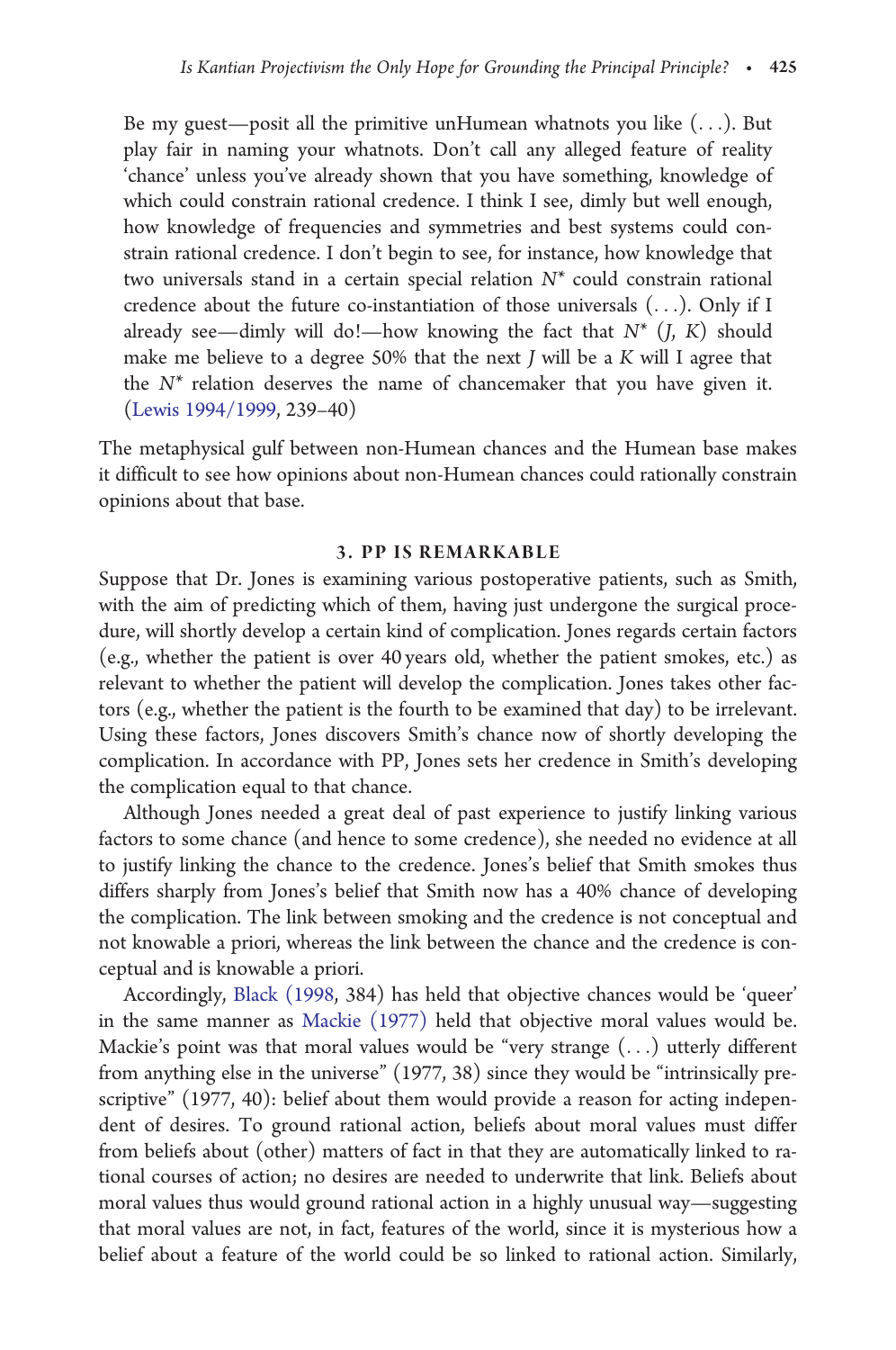Be my guest—posit all the primitive unHumean whatnots you like  $(\ldots)$ . But play fair in naming your whatnots. Don't call any alleged feature of reality 'chance' unless you've already shown that you have something, knowledge of which could constrain rational credence. I think I see, dimly but well enough, how knowledge of frequencies and symmetries and best systems could constrain rational credence. I don't begin to see, for instance, how knowledge that two universals stand in a certain special relation N\* could constrain rational credence about the future co-instantiation of those universals (...). Only if I already see—dimly will do!—how knowing the fact that  $N^*$  (*J*, *K*) should make me believe to a degree 50% that the next J will be a K will I agree that the  $N^*$  relation deserves the name of chancemaker that you have given it. ([Lewis 1994/1999,](#page-14-0) 239–40)

The metaphysical gulf between non-Humean chances and the Humean base makes it difficult to see how opinions about non-Humean chances could rationally constrain opinions about that base.

#### 3. PP IS REMARKABLE

Suppose that Dr. Jones is examining various postoperative patients, such as Smith, with the aim of predicting which of them, having just undergone the surgical procedure, will shortly develop a certain kind of complication. Jones regards certain factors (e.g., whether the patient is over 40 years old, whether the patient smokes, etc.) as relevant to whether the patient will develop the complication. Jones takes other factors (e.g., whether the patient is the fourth to be examined that day) to be irrelevant. Using these factors, Jones discovers Smith's chance now of shortly developing the complication. In accordance with PP, Jones sets her credence in Smith's developing the complication equal to that chance.

Although Jones needed a great deal of past experience to justify linking various factors to some chance (and hence to some credence), she needed no evidence at all to justify linking the chance to the credence. Jones's belief that Smith smokes thus differs sharply from Jones's belief that Smith now has a 40% chance of developing the complication. The link between smoking and the credence is not conceptual and not knowable a priori, whereas the link between the chance and the credence is conceptual and is knowable a priori.

Accordingly, [Black \(1998,](#page-13-0) 384) has held that objective chances would be 'queer' in the same manner as [Mackie \(1977\)](#page-14-0) held that objective moral values would be. Mackie's point was that moral values would be "very strange (...) utterly different from anything else in the universe" (1977, 38) since they would be "intrinsically prescriptive" (1977, 40): belief about them would provide a reason for acting independent of desires. To ground rational action, beliefs about moral values must differ from beliefs about (other) matters of fact in that they are automatically linked to rational courses of action; no desires are needed to underwrite that link. Beliefs about moral values thus would ground rational action in a highly unusual way—suggesting that moral values are not, in fact, features of the world, since it is mysterious how a belief about a feature of the world could be so linked to rational action. Similarly,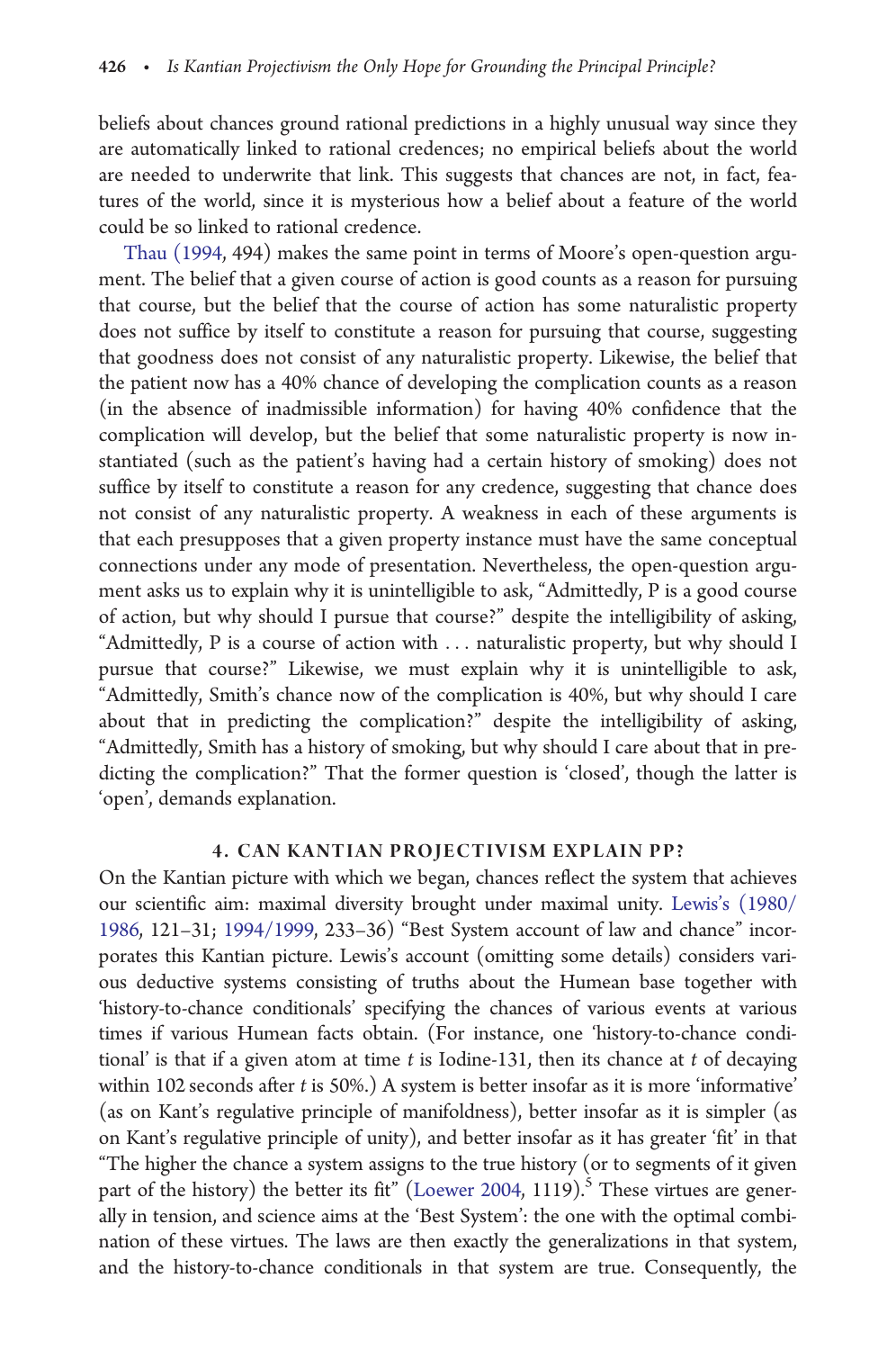beliefs about chances ground rational predictions in a highly unusual way since they are automatically linked to rational credences; no empirical beliefs about the world are needed to underwrite that link. This suggests that chances are not, in fact, features of the world, since it is mysterious how a belief about a feature of the world could be so linked to rational credence.

[Thau \(1994,](#page-14-0) 494) makes the same point in terms of Moore's open-question argument. The belief that a given course of action is good counts as a reason for pursuing that course, but the belief that the course of action has some naturalistic property does not suffice by itself to constitute a reason for pursuing that course, suggesting that goodness does not consist of any naturalistic property. Likewise, the belief that the patient now has a 40% chance of developing the complication counts as a reason (in the absence of inadmissible information) for having 40% confidence that the complication will develop, but the belief that some naturalistic property is now instantiated (such as the patient's having had a certain history of smoking) does not suffice by itself to constitute a reason for any credence, suggesting that chance does not consist of any naturalistic property. A weakness in each of these arguments is that each presupposes that a given property instance must have the same conceptual connections under any mode of presentation. Nevertheless, the open-question argument asks us to explain why it is unintelligible to ask, "Admittedly, P is a good course of action, but why should I pursue that course?" despite the intelligibility of asking, "Admittedly, P is a course of action with ... naturalistic property, but why should I pursue that course?" Likewise, we must explain why it is unintelligible to ask, "Admittedly, Smith's chance now of the complication is 40%, but why should I care about that in predicting the complication?" despite the intelligibility of asking, "Admittedly, Smith has a history of smoking, but why should I care about that in predicting the complication?" That the former question is 'closed', though the latter is 'open', demands explanation.

#### 4. CAN KANTIAN PROJECTIVISM EXPLAIN PP?

On the Kantian picture with which we began, chances reflect the system that achieves our scientific aim: maximal diversity brought under maximal unity. [Lewis's \(1980/](#page-14-0) [1986,](#page-14-0) 121–31; [1994/1999,](#page-14-0) 233–36) "Best System account of law and chance" incorporates this Kantian picture. Lewis's account (omitting some details) considers various deductive systems consisting of truths about the Humean base together with 'history-to-chance conditionals' specifying the chances of various events at various times if various Humean facts obtain. (For instance, one 'history-to-chance conditional' is that if a given atom at time  $t$  is Iodine-131, then its chance at  $t$  of decaying within 102 seconds after t is 50%.) A system is better insofar as it is more 'informative' (as on Kant's regulative principle of manifoldness), better insofar as it is simpler (as on Kant's regulative principle of unity), and better insofar as it has greater 'fit' in that "The higher the chance a system assigns to the true history (or to segments of it given part of the history) the better its fit" ([Loewer 2004,](#page-14-0) 1119).<sup>5</sup> These virtues are generally in tension, and science aims at the 'Best System': the one with the optimal combination of these virtues. The laws are then exactly the generalizations in that system, and the history-to-chance conditionals in that system are true. Consequently, the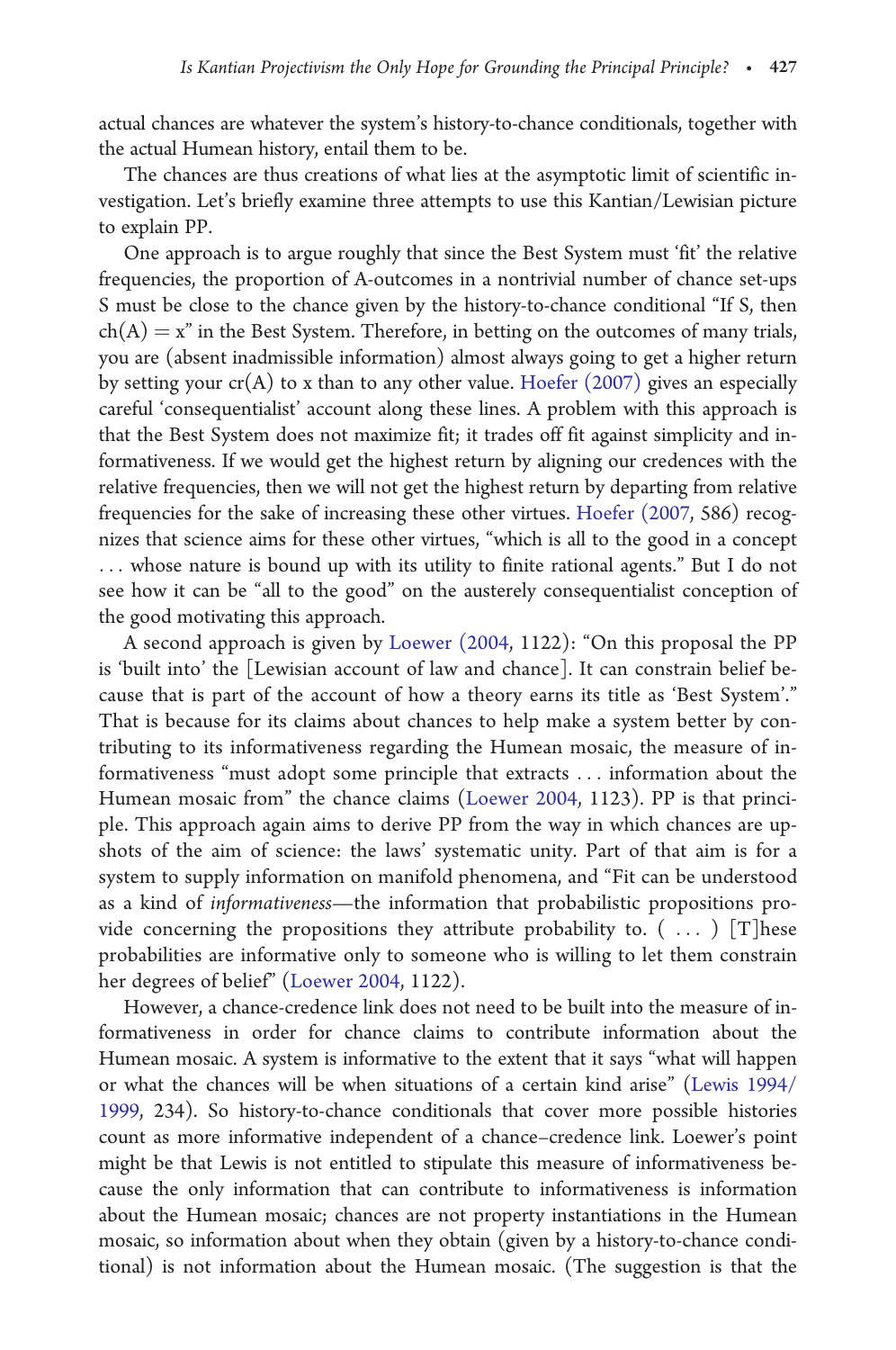actual chances are whatever the system's history-to-chance conditionals, together with the actual Humean history, entail them to be.

The chances are thus creations of what lies at the asymptotic limit of scientific investigation. Let's briefly examine three attempts to use this Kantian/Lewisian picture to explain PP.

One approach is to argue roughly that since the Best System must 'fit' the relative frequencies, the proportion of A-outcomes in a nontrivial number of chance set-ups S must be close to the chance given by the history-to-chance conditional "If S, then  $ch(A) = x$ " in the Best System. Therefore, in betting on the outcomes of many trials, you are (absent inadmissible information) almost always going to get a higher return by setting your  $cr(A)$  to x than to any other value. [Hoefer \(2007\)](#page-14-0) gives an especially careful 'consequentialist' account along these lines. A problem with this approach is that the Best System does not maximize fit; it trades off fit against simplicity and informativeness. If we would get the highest return by aligning our credences with the relative frequencies, then we will not get the highest return by departing from relative frequencies for the sake of increasing these other virtues. [Hoefer \(2007,](#page-14-0) 586) recognizes that science aims for these other virtues, "which is all to the good in a concept ... whose nature is bound up with its utility to finite rational agents." But I do not see how it can be "all to the good" on the austerely consequentialist conception of the good motivating this approach.

A second approach is given by [Loewer \(2004,](#page-14-0) 1122): "On this proposal the PP is 'built into' the [Lewisian account of law and chance]. It can constrain belief because that is part of the account of how a theory earns its title as 'Best System'." That is because for its claims about chances to help make a system better by contributing to its informativeness regarding the Humean mosaic, the measure of informativeness "must adopt some principle that extracts ... information about the Humean mosaic from" the chance claims [\(Loewer 2004,](#page-14-0) 1123). PP is that principle. This approach again aims to derive PP from the way in which chances are upshots of the aim of science: the laws' systematic unity. Part of that aim is for a system to supply information on manifold phenomena, and "Fit can be understood as a kind of informativeness—the information that probabilistic propositions provide concerning the propositions they attribute probability to.  $( \ldots )$  [T] hese probabilities are informative only to someone who is willing to let them constrain her degrees of belief" ([Loewer 2004](#page-14-0), 1122).

However, a chance-credence link does not need to be built into the measure of informativeness in order for chance claims to contribute information about the Humean mosaic. A system is informative to the extent that it says "what will happen or what the chances will be when situations of a certain kind arise" ([Lewis 1994/](#page-14-0) [1999](#page-14-0), 234). So history-to-chance conditionals that cover more possible histories count as more informative independent of a chance–credence link. Loewer's point might be that Lewis is not entitled to stipulate this measure of informativeness because the only information that can contribute to informativeness is information about the Humean mosaic; chances are not property instantiations in the Humean mosaic, so information about when they obtain (given by a history-to-chance conditional) is not information about the Humean mosaic. (The suggestion is that the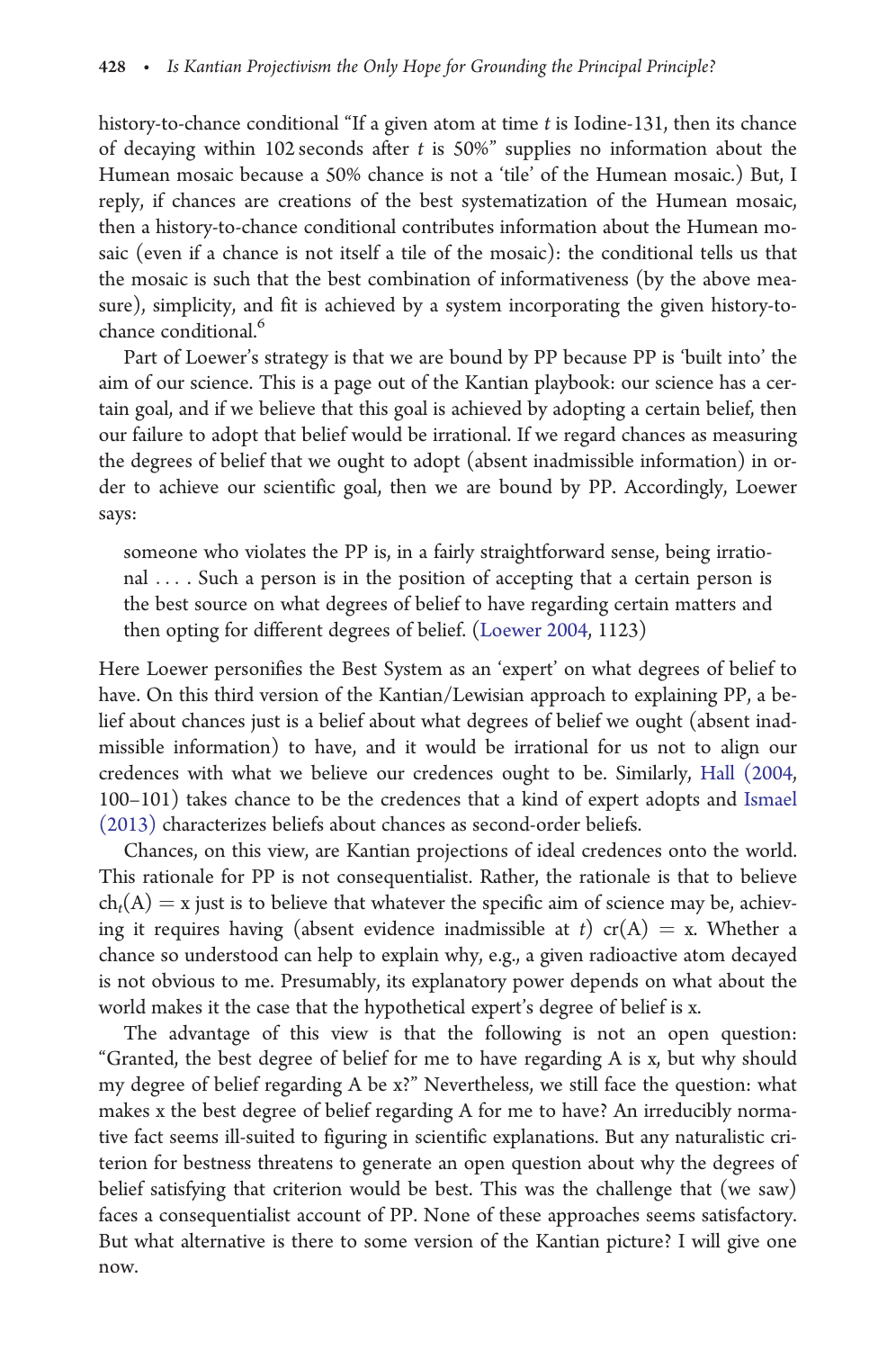history-to-chance conditional "If a given atom at time  $t$  is Iodine-131, then its chance of decaying within 102 seconds after  $t$  is 50%" supplies no information about the Humean mosaic because a 50% chance is not a 'tile' of the Humean mosaic.) But, I reply, if chances are creations of the best systematization of the Humean mosaic, then a history-to-chance conditional contributes information about the Humean mosaic (even if a chance is not itself a tile of the mosaic): the conditional tells us that the mosaic is such that the best combination of informativeness (by the above measure), simplicity, and fit is achieved by a system incorporating the given history-tochance conditional.<sup>6</sup>

Part of Loewer's strategy is that we are bound by PP because PP is 'built into' the aim of our science. This is a page out of the Kantian playbook: our science has a certain goal, and if we believe that this goal is achieved by adopting a certain belief, then our failure to adopt that belief would be irrational. If we regard chances as measuring the degrees of belief that we ought to adopt (absent inadmissible information) in order to achieve our scientific goal, then we are bound by PP. Accordingly, Loewer says:

someone who violates the PP is, in a fairly straightforward sense, being irrational ... . Such a person is in the position of accepting that a certain person is the best source on what degrees of belief to have regarding certain matters and then opting for different degrees of belief. ([Loewer 2004,](#page-14-0) 1123)

Here Loewer personifies the Best System as an 'expert' on what degrees of belief to have. On this third version of the Kantian/Lewisian approach to explaining PP, a belief about chances just is a belief about what degrees of belief we ought (absent inadmissible information) to have, and it would be irrational for us not to align our credences with what we believe our credences ought to be. Similarly, [Hall \(2004](#page-14-0), 100–101) takes chance to be the credences that a kind of expert adopts and [Ismael](#page-14-0) [\(2013\)](#page-14-0) characterizes beliefs about chances as second-order beliefs.

Chances, on this view, are Kantian projections of ideal credences onto the world. This rationale for PP is not consequentialist. Rather, the rationale is that to believe  $ch<sub>t</sub>(A) = x$  just is to believe that whatever the specific aim of science may be, achieving it requires having (absent evidence inadmissible at t)  $cr(A) = x$ . Whether a chance so understood can help to explain why, e.g., a given radioactive atom decayed is not obvious to me. Presumably, its explanatory power depends on what about the world makes it the case that the hypothetical expert's degree of belief is x.

The advantage of this view is that the following is not an open question: "Granted, the best degree of belief for me to have regarding A is x, but why should my degree of belief regarding A be x?" Nevertheless, we still face the question: what makes x the best degree of belief regarding A for me to have? An irreducibly normative fact seems ill-suited to figuring in scientific explanations. But any naturalistic criterion for bestness threatens to generate an open question about why the degrees of belief satisfying that criterion would be best. This was the challenge that (we saw) faces a consequentialist account of PP. None of these approaches seems satisfactory. But what alternative is there to some version of the Kantian picture? I will give one now.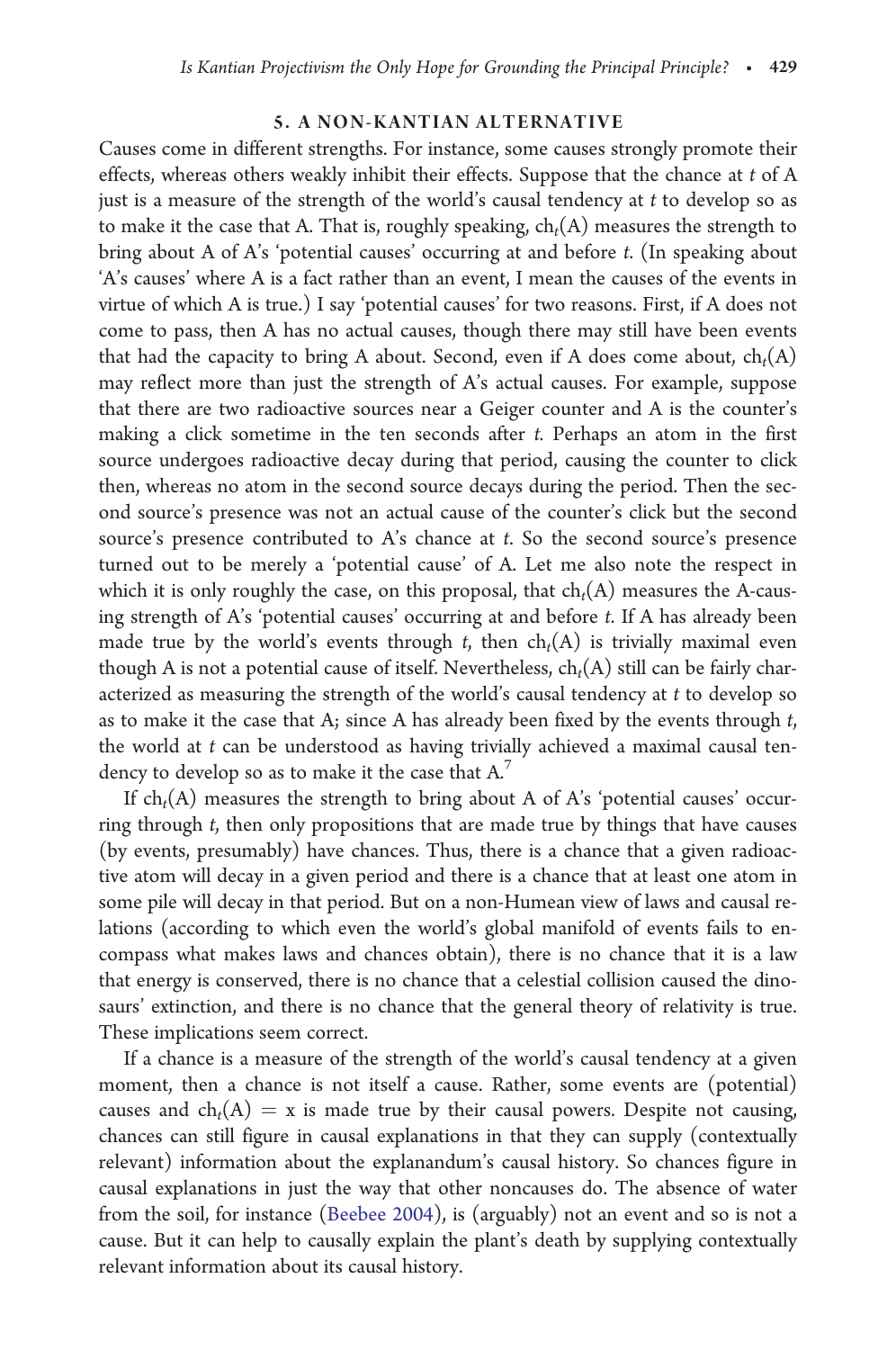## 5. A NON-KANTIAN ALTERNATIVE

Causes come in different strengths. For instance, some causes strongly promote their effects, whereas others weakly inhibit their effects. Suppose that the chance at t of A just is a measure of the strength of the world's causal tendency at t to develop so as to make it the case that A. That is, roughly speaking,  $ch<sub>t</sub>(A)$  measures the strength to bring about A of A's 'potential causes' occurring at and before t. (In speaking about 'A's causes' where A is a fact rather than an event, I mean the causes of the events in virtue of which A is true.) I say 'potential causes' for two reasons. First, if A does not come to pass, then A has no actual causes, though there may still have been events that had the capacity to bring A about. Second, even if A does come about,  $ch_t(A)$ may reflect more than just the strength of A's actual causes. For example, suppose that there are two radioactive sources near a Geiger counter and A is the counter's making a click sometime in the ten seconds after t. Perhaps an atom in the first source undergoes radioactive decay during that period, causing the counter to click then, whereas no atom in the second source decays during the period. Then the second source's presence was not an actual cause of the counter's click but the second source's presence contributed to A's chance at t. So the second source's presence turned out to be merely a 'potential cause' of A. Let me also note the respect in which it is only roughly the case, on this proposal, that  $ch<sub>t</sub>(A)$  measures the A-causing strength of A's 'potential causes' occurring at and before t. If A has already been made true by the world's events through t, then  $ch<sub>t</sub>(A)$  is trivially maximal even though A is not a potential cause of itself. Nevertheless,  $ch_t(A)$  still can be fairly characterized as measuring the strength of the world's causal tendency at  $t$  to develop so as to make it the case that A; since A has already been fixed by the events through t, the world at  $t$  can be understood as having trivially achieved a maximal causal tendency to develop so as to make it the case that A.7

If  $ch<sub>t</sub>(A)$  measures the strength to bring about A of A's 'potential causes' occurring through t, then only propositions that are made true by things that have causes (by events, presumably) have chances. Thus, there is a chance that a given radioactive atom will decay in a given period and there is a chance that at least one atom in some pile will decay in that period. But on a non-Humean view of laws and causal relations (according to which even the world's global manifold of events fails to encompass what makes laws and chances obtain), there is no chance that it is a law that energy is conserved, there is no chance that a celestial collision caused the dinosaurs' extinction, and there is no chance that the general theory of relativity is true. These implications seem correct.

If a chance is a measure of the strength of the world's causal tendency at a given moment, then a chance is not itself a cause. Rather, some events are (potential) causes and  $ch<sub>t</sub>(A) = x$  is made true by their causal powers. Despite not causing, chances can still figure in causal explanations in that they can supply (contextually relevant) information about the explanandum's causal history. So chances figure in causal explanations in just the way that other noncauses do. The absence of water from the soil, for instance [\(Beebee 2004\)](#page-13-0), is (arguably) not an event and so is not a cause. But it can help to causally explain the plant's death by supplying contextually relevant information about its causal history.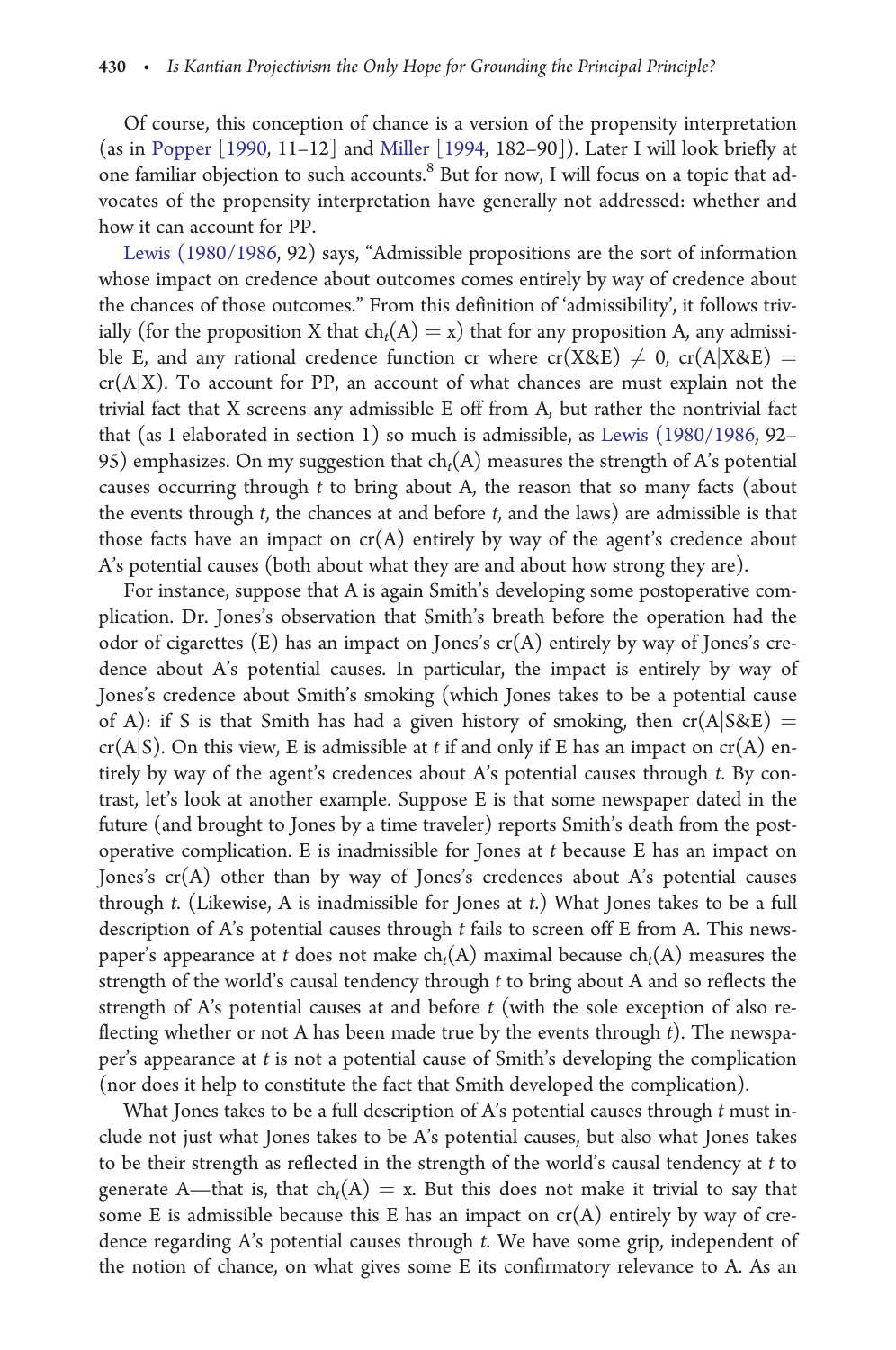Of course, this conception of chance is a version of the propensity interpretation (as in [Popper \[1990](#page-14-0), 11–12] and [Miller \[1994](#page-14-0), 182–90]). Later I will look briefly at one familiar objection to such accounts.8 But for now, I will focus on a topic that advocates of the propensity interpretation have generally not addressed: whether and how it can account for PP.

[Lewis \(1980/1986](#page-14-0), 92) says, "Admissible propositions are the sort of information whose impact on credence about outcomes comes entirely by way of credence about the chances of those outcomes." From this definition of 'admissibility', it follows trivially (for the proposition X that  $ch_t(A) = x$ ) that for any proposition A, any admissible E, and any rational credence function cr where  $cr(X\&E) \neq 0$ ,  $cr(A|X\&E) =$  $cr(A|X)$ . To account for PP, an account of what chances are must explain not the trivial fact that X screens any admissible E off from A, but rather the nontrivial fact that (as I elaborated in section 1) so much is admissible, as [Lewis \(1980/1986](#page-14-0), 92– 95) emphasizes. On my suggestion that  $ch_t(A)$  measures the strength of A's potential causes occurring through t to bring about A, the reason that so many facts (about the events through  $t$ , the chances at and before  $t$ , and the laws) are admissible is that those facts have an impact on  $cr(A)$  entirely by way of the agent's credence about A's potential causes (both about what they are and about how strong they are).

For instance, suppose that A is again Smith's developing some postoperative complication. Dr. Jones's observation that Smith's breath before the operation had the odor of cigarettes  $(E)$  has an impact on Jones's  $cr(A)$  entirely by way of Jones's credence about A's potential causes. In particular, the impact is entirely by way of Jones's credence about Smith's smoking (which Jones takes to be a potential cause of A): if S is that Smith has had a given history of smoking, then  $cr(A|S\&E)$  =  $cr(A|S)$ . On this view, E is admissible at t if and only if E has an impact on  $cr(A)$  entirely by way of the agent's credences about A's potential causes through t. By contrast, let's look at another example. Suppose E is that some newspaper dated in the future (and brought to Jones by a time traveler) reports Smith's death from the postoperative complication. E is inadmissible for Jones at t because E has an impact on Jones's cr(A) other than by way of Jones's credences about A's potential causes through t. (Likewise, A is inadmissible for Jones at t.) What Jones takes to be a full description of A's potential causes through t fails to screen off E from A. This newspaper's appearance at t does not make  $ch<sub>t</sub>(A)$  maximal because  $ch<sub>t</sub>(A)$  measures the strength of the world's causal tendency through t to bring about A and so reflects the strength of A's potential causes at and before  $t$  (with the sole exception of also reflecting whether or not A has been made true by the events through  $t$ ). The newspaper's appearance at t is not a potential cause of Smith's developing the complication (nor does it help to constitute the fact that Smith developed the complication).

What Jones takes to be a full description of A's potential causes through t must include not just what Jones takes to be A's potential causes, but also what Jones takes to be their strength as reflected in the strength of the world's causal tendency at t to generate A—that is, that  $ch_t(A) = x$ . But this does not make it trivial to say that some E is admissible because this E has an impact on  $cr(A)$  entirely by way of credence regarding A's potential causes through t. We have some grip, independent of the notion of chance, on what gives some E its confirmatory relevance to A. As an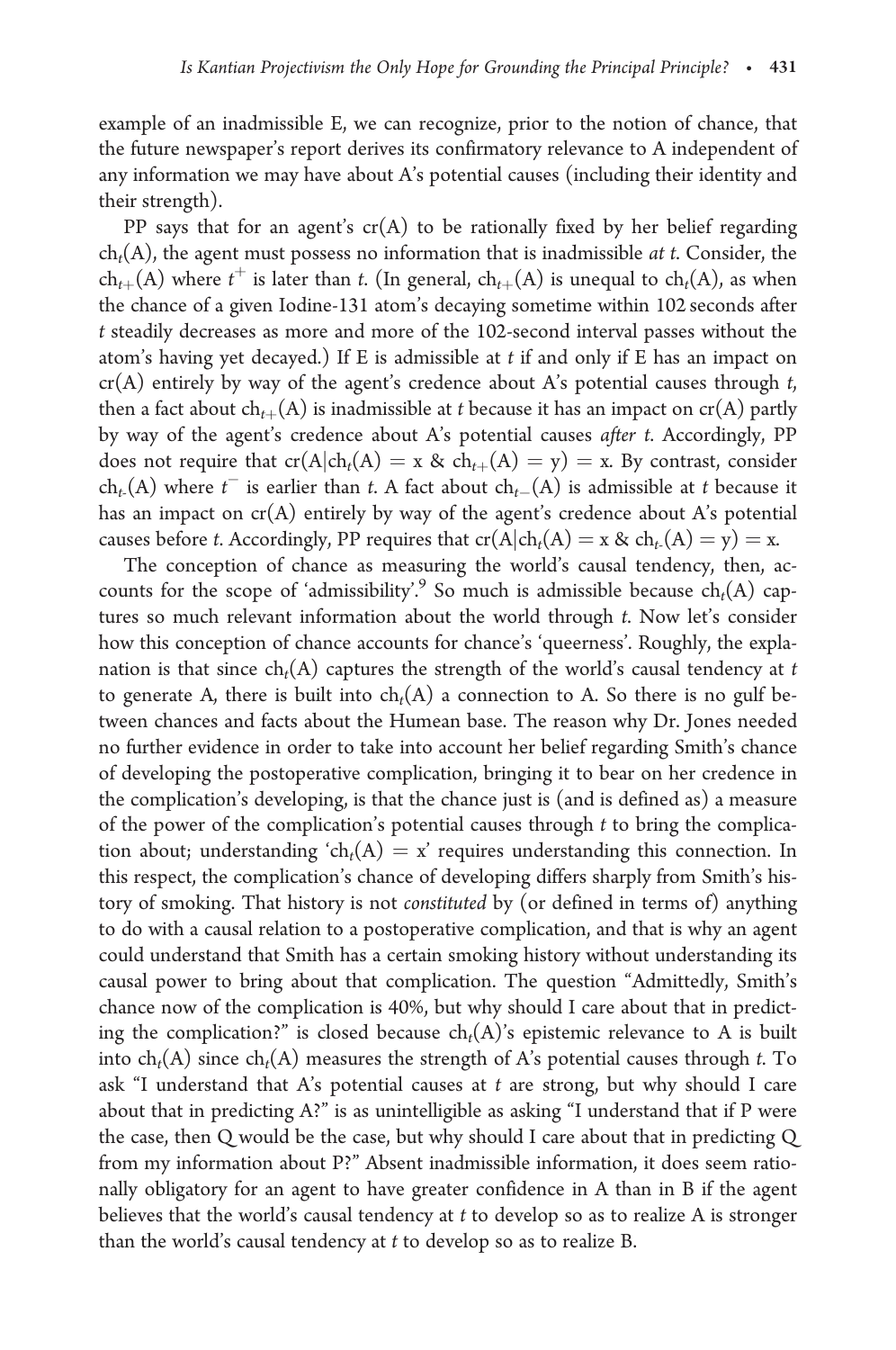example of an inadmissible E, we can recognize, prior to the notion of chance, that the future newspaper's report derives its confirmatory relevance to A independent of any information we may have about A's potential causes (including their identity and their strength).

PP says that for an agent's  $cr(A)$  to be rationally fixed by her belief regarding  $ch<sub>t</sub>(A)$ , the agent must possess no information that is inadmissible *at t*. Consider, the  $ch_{t+}(A)$  where  $t^+$  is later than t. (In general,  $ch_{t+}(A)$  is unequal to  $ch_t(A)$ , as when the chance of a given Iodine-131 atom's decaying sometime within 102 seconds after t steadily decreases as more and more of the 102-second interval passes without the atom's having yet decayed.) If E is admissible at t if and only if E has an impact on  $cr(A)$  entirely by way of the agent's credence about A's potential causes through t, then a fact about  $ch_{t+}(A)$  is inadmissible at t because it has an impact on  $cr(A)$  partly by way of the agent's credence about A's potential causes after t. Accordingly, PP does not require that  $cr(A|ch_t(A) = x \& ch_{t+}(A) = y) = x$ . By contrast, consider  $ch_t(A)$  where  $t^-$  is earlier than t. A fact about  $ch_t(A)$  is admissible at t because it has an impact on cr(A) entirely by way of the agent's credence about A's potential causes before t. Accordingly, PP requires that  $cr(A|ch_t(A) = x \& ch_t(A) = y) = x$ .

The conception of chance as measuring the world's causal tendency, then, accounts for the scope of 'admissibility'.<sup>9</sup> So much is admissible because  $ch<sub>t</sub>(A)$  captures so much relevant information about the world through t. Now let's consider how this conception of chance accounts for chance's 'queerness'. Roughly, the explanation is that since  $ch_t(A)$  captures the strength of the world's causal tendency at t to generate A, there is built into  $ch<sub>t</sub>(A)$  a connection to A. So there is no gulf between chances and facts about the Humean base. The reason why Dr. Jones needed no further evidence in order to take into account her belief regarding Smith's chance of developing the postoperative complication, bringing it to bear on her credence in the complication's developing, is that the chance just is (and is defined as) a measure of the power of the complication's potential causes through  $t$  to bring the complication about; understanding 'ch<sub>t</sub>(A) = x' requires understanding this connection. In this respect, the complication's chance of developing differs sharply from Smith's history of smoking. That history is not constituted by (or defined in terms of) anything to do with a causal relation to a postoperative complication, and that is why an agent could understand that Smith has a certain smoking history without understanding its causal power to bring about that complication. The question "Admittedly, Smith's chance now of the complication is 40%, but why should I care about that in predicting the complication?" is closed because  $ch_t(A)$ 's epistemic relevance to A is built into  $ch_t(A)$  since  $ch_t(A)$  measures the strength of A's potential causes through t. To ask "I understand that A's potential causes at  $t$  are strong, but why should I care about that in predicting A?" is as unintelligible as asking "I understand that if P were the case, then Q would be the case, but why should I care about that in predicting Q from my information about P?" Absent inadmissible information, it does seem rationally obligatory for an agent to have greater confidence in A than in B if the agent believes that the world's causal tendency at  $t$  to develop so as to realize  $A$  is stronger than the world's causal tendency at  $t$  to develop so as to realize  $B$ .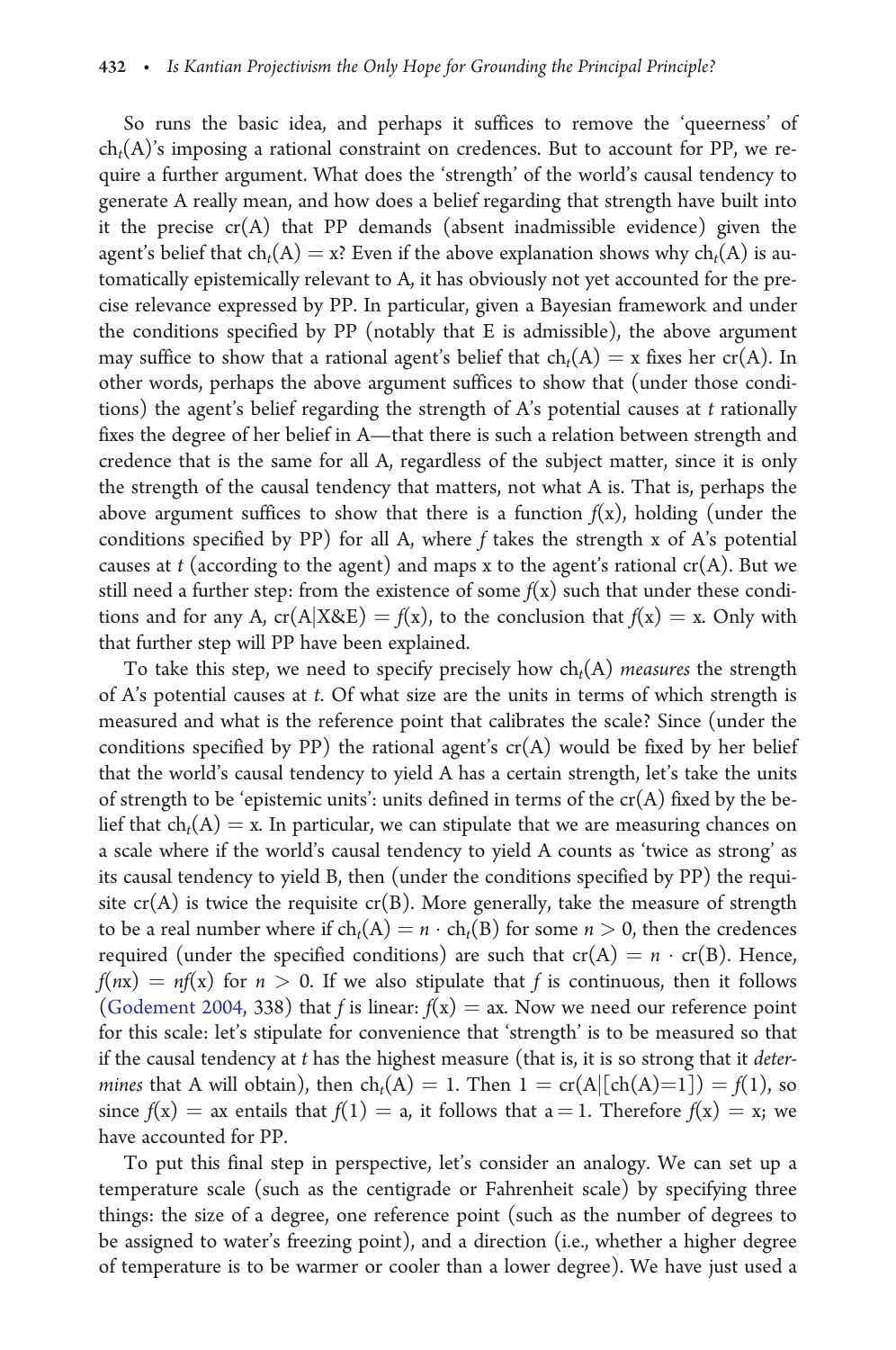So runs the basic idea, and perhaps it suffices to remove the 'queerness' of  $ch<sub>t</sub>(A)'$ s imposing a rational constraint on credences. But to account for PP, we require a further argument. What does the 'strength' of the world's causal tendency to generate A really mean, and how does a belief regarding that strength have built into it the precise  $cr(A)$  that PP demands (absent inadmissible evidence) given the agent's belief that  $ch_t(A) = x$ ? Even if the above explanation shows why  $ch_t(A)$  is automatically epistemically relevant to A, it has obviously not yet accounted for the precise relevance expressed by PP. In particular, given a Bayesian framework and under the conditions specified by PP (notably that E is admissible), the above argument may suffice to show that a rational agent's belief that  $ch_t(A) = x$  fixes her  $cr(A)$ . In other words, perhaps the above argument suffices to show that (under those conditions) the agent's belief regarding the strength of  $A$ 's potential causes at  $t$  rationally fixes the degree of her belief in A—that there is such a relation between strength and credence that is the same for all A, regardless of the subject matter, since it is only the strength of the causal tendency that matters, not what A is. That is, perhaps the above argument suffices to show that there is a function  $f(x)$ , holding (under the conditions specified by PP) for all A, where f takes the strength x of A's potential causes at t (according to the agent) and maps x to the agent's rational  $cr(A)$ . But we still need a further step: from the existence of some  $f(x)$  such that under these conditions and for any A,  $cr(A|X&E) = f(x)$ , to the conclusion that  $f(x) = x$ . Only with that further step will PP have been explained.

To take this step, we need to specify precisely how  $ch<sub>t</sub>(A)$  measures the strength of A's potential causes at t. Of what size are the units in terms of which strength is measured and what is the reference point that calibrates the scale? Since (under the conditions specified by PP) the rational agent's  $cr(A)$  would be fixed by her belief that the world's causal tendency to yield A has a certain strength, let's take the units of strength to be 'epistemic units': units defined in terms of the  $cr(A)$  fixed by the belief that  $ch<sub>t</sub>(A) = x$ . In particular, we can stipulate that we are measuring chances on a scale where if the world's causal tendency to yield A counts as 'twice as strong' as its causal tendency to yield B, then (under the conditions specified by PP) the requisite  $cr(A)$  is twice the requisite  $cr(B)$ . More generally, take the measure of strength to be a real number where if  $ch_t(A) = n \cdot ch_t(B)$  for some  $n > 0$ , then the credences required (under the specified conditions) are such that  $cr(A) = n \cdot cr(B)$ . Hence,  $f(nx) = nf(x)$  for  $n > 0$ . If we also stipulate that f is continuous, then it follows ([Godement 2004,](#page-13-0) 338) that f is linear:  $f(x) = ax$ . Now we need our reference point for this scale: let's stipulate for convenience that 'strength' is to be measured so that if the causal tendency at  $t$  has the highest measure (that is, it is so strong that it *deter*mines that A will obtain), then  $ch_t(A) = 1$ . Then  $1 = cr(A|[ch(A)=1]) = f(1)$ , so since  $f(x) = ax$  entails that  $f(1) = a$ , it follows that  $a = 1$ . Therefore  $f(x) = x$ ; we have accounted for PP.

To put this final step in perspective, let's consider an analogy. We can set up a temperature scale (such as the centigrade or Fahrenheit scale) by specifying three things: the size of a degree, one reference point (such as the number of degrees to be assigned to water's freezing point), and a direction (i.e., whether a higher degree of temperature is to be warmer or cooler than a lower degree). We have just used a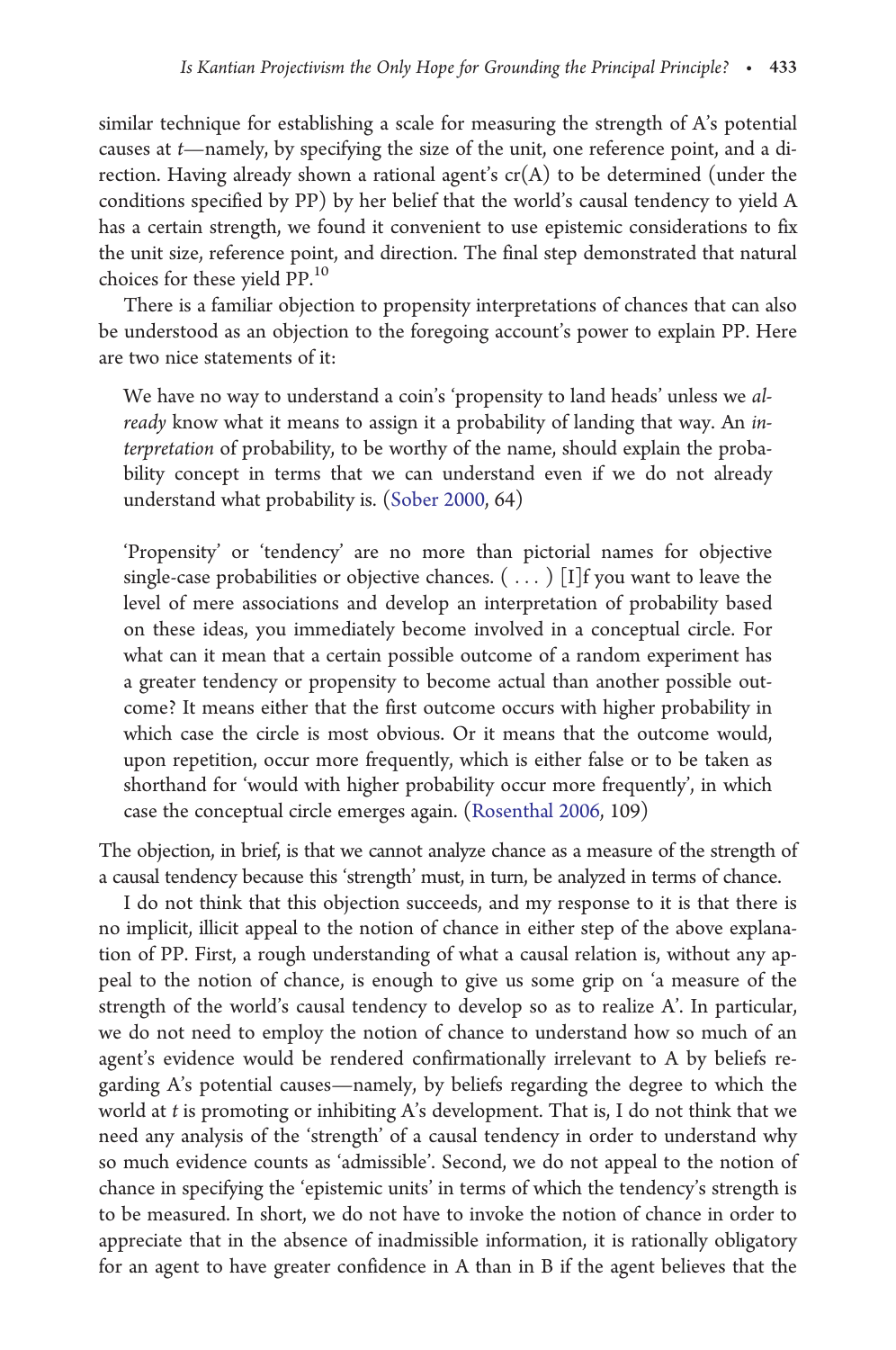similar technique for establishing a scale for measuring the strength of A's potential causes at t—namely, by specifying the size of the unit, one reference point, and a direction. Having already shown a rational agent's  $cr(A)$  to be determined (under the conditions specified by PP) by her belief that the world's causal tendency to yield A has a certain strength, we found it convenient to use epistemic considerations to fix the unit size, reference point, and direction. The final step demonstrated that natural choices for these yield PP.<sup>10</sup>

There is a familiar objection to propensity interpretations of chances that can also be understood as an objection to the foregoing account's power to explain PP. Here are two nice statements of it:

We have no way to understand a coin's 'propensity to land heads' unless we already know what it means to assign it a probability of landing that way. An interpretation of probability, to be worthy of the name, should explain the probability concept in terms that we can understand even if we do not already understand what probability is. [\(Sober 2000](#page-14-0), 64)

'Propensity' or 'tendency' are no more than pictorial names for objective single-case probabilities or objective chances. ( ... ) [I]f you want to leave the level of mere associations and develop an interpretation of probability based on these ideas, you immediately become involved in a conceptual circle. For what can it mean that a certain possible outcome of a random experiment has a greater tendency or propensity to become actual than another possible outcome? It means either that the first outcome occurs with higher probability in which case the circle is most obvious. Or it means that the outcome would, upon repetition, occur more frequently, which is either false or to be taken as shorthand for 'would with higher probability occur more frequently', in which case the conceptual circle emerges again. ([Rosenthal 2006,](#page-14-0) 109)

The objection, in brief, is that we cannot analyze chance as a measure of the strength of a causal tendency because this 'strength' must, in turn, be analyzed in terms of chance.

I do not think that this objection succeeds, and my response to it is that there is no implicit, illicit appeal to the notion of chance in either step of the above explanation of PP. First, a rough understanding of what a causal relation is, without any appeal to the notion of chance, is enough to give us some grip on 'a measure of the strength of the world's causal tendency to develop so as to realize A'. In particular, we do not need to employ the notion of chance to understand how so much of an agent's evidence would be rendered confirmationally irrelevant to A by beliefs regarding A's potential causes—namely, by beliefs regarding the degree to which the world at t is promoting or inhibiting A's development. That is, I do not think that we need any analysis of the 'strength' of a causal tendency in order to understand why so much evidence counts as 'admissible'. Second, we do not appeal to the notion of chance in specifying the 'epistemic units' in terms of which the tendency's strength is to be measured. In short, we do not have to invoke the notion of chance in order to appreciate that in the absence of inadmissible information, it is rationally obligatory for an agent to have greater confidence in A than in B if the agent believes that the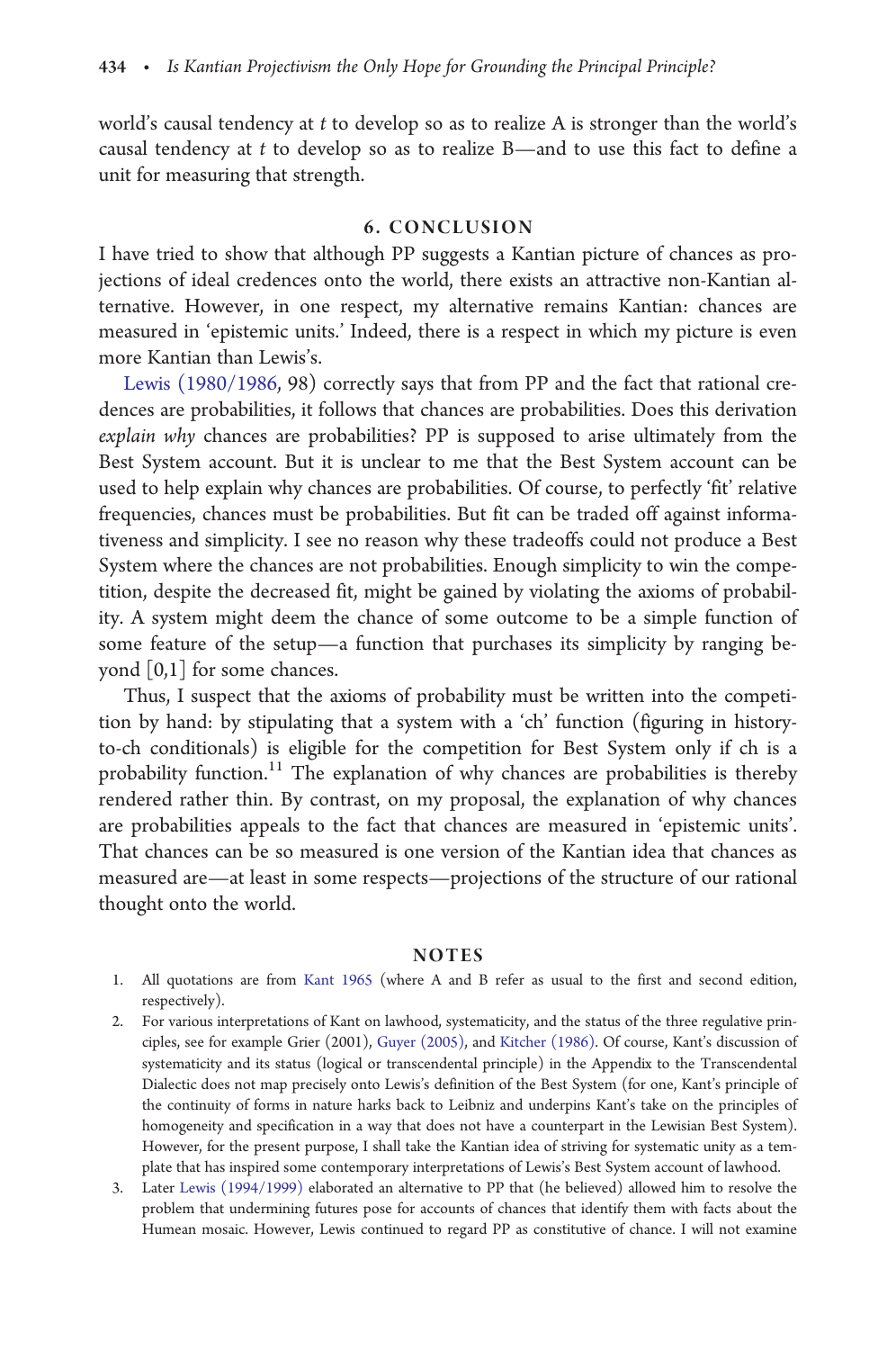world's causal tendency at t to develop so as to realize A is stronger than the world's causal tendency at  $t$  to develop so as to realize  $B$ —and to use this fact to define a unit for measuring that strength.

## 6. CONCLUSION

I have tried to show that although PP suggests a Kantian picture of chances as projections of ideal credences onto the world, there exists an attractive non-Kantian alternative. However, in one respect, my alternative remains Kantian: chances are measured in 'epistemic units.' Indeed, there is a respect in which my picture is even more Kantian than Lewis's.

[Lewis \(1980/1986](#page-14-0), 98) correctly says that from PP and the fact that rational credences are probabilities, it follows that chances are probabilities. Does this derivation explain why chances are probabilities? PP is supposed to arise ultimately from the Best System account. But it is unclear to me that the Best System account can be used to help explain why chances are probabilities. Of course, to perfectly 'fit' relative frequencies, chances must be probabilities. But fit can be traded off against informativeness and simplicity. I see no reason why these tradeoffs could not produce a Best System where the chances are not probabilities. Enough simplicity to win the competition, despite the decreased fit, might be gained by violating the axioms of probability. A system might deem the chance of some outcome to be a simple function of some feature of the setup—a function that purchases its simplicity by ranging beyond [0,1] for some chances.

Thus, I suspect that the axioms of probability must be written into the competition by hand: by stipulating that a system with a 'ch' function (figuring in historyto-ch conditionals) is eligible for the competition for Best System only if ch is a probability function.<sup>11</sup> The explanation of why chances are probabilities is thereby rendered rather thin. By contrast, on my proposal, the explanation of why chances are probabilities appeals to the fact that chances are measured in 'epistemic units'. That chances can be so measured is one version of the Kantian idea that chances as measured are—at least in some respects—projections of the structure of our rational thought onto the world.

#### **NOTES**

- 1. All quotations are from [Kant 1965](#page-14-0) (where A and B refer as usual to the first and second edition, respectively).
- 2. For various interpretations of Kant on lawhood, systematicity, and the status of the three regulative principles, see for example Grier (2001), [Guyer \(2005\)](#page-13-0), and [Kitcher \(1986\)](#page-14-0). Of course, Kant's discussion of systematicity and its status (logical or transcendental principle) in the Appendix to the Transcendental Dialectic does not map precisely onto Lewis's definition of the Best System (for one, Kant's principle of the continuity of forms in nature harks back to Leibniz and underpins Kant's take on the principles of homogeneity and specification in a way that does not have a counterpart in the Lewisian Best System). However, for the present purpose, I shall take the Kantian idea of striving for systematic unity as a template that has inspired some contemporary interpretations of Lewis's Best System account of lawhood.
- 3. Later [Lewis \(1994/1999\)](#page-14-0) elaborated an alternative to PP that (he believed) allowed him to resolve the problem that undermining futures pose for accounts of chances that identify them with facts about the Humean mosaic. However, Lewis continued to regard PP as constitutive of chance. I will not examine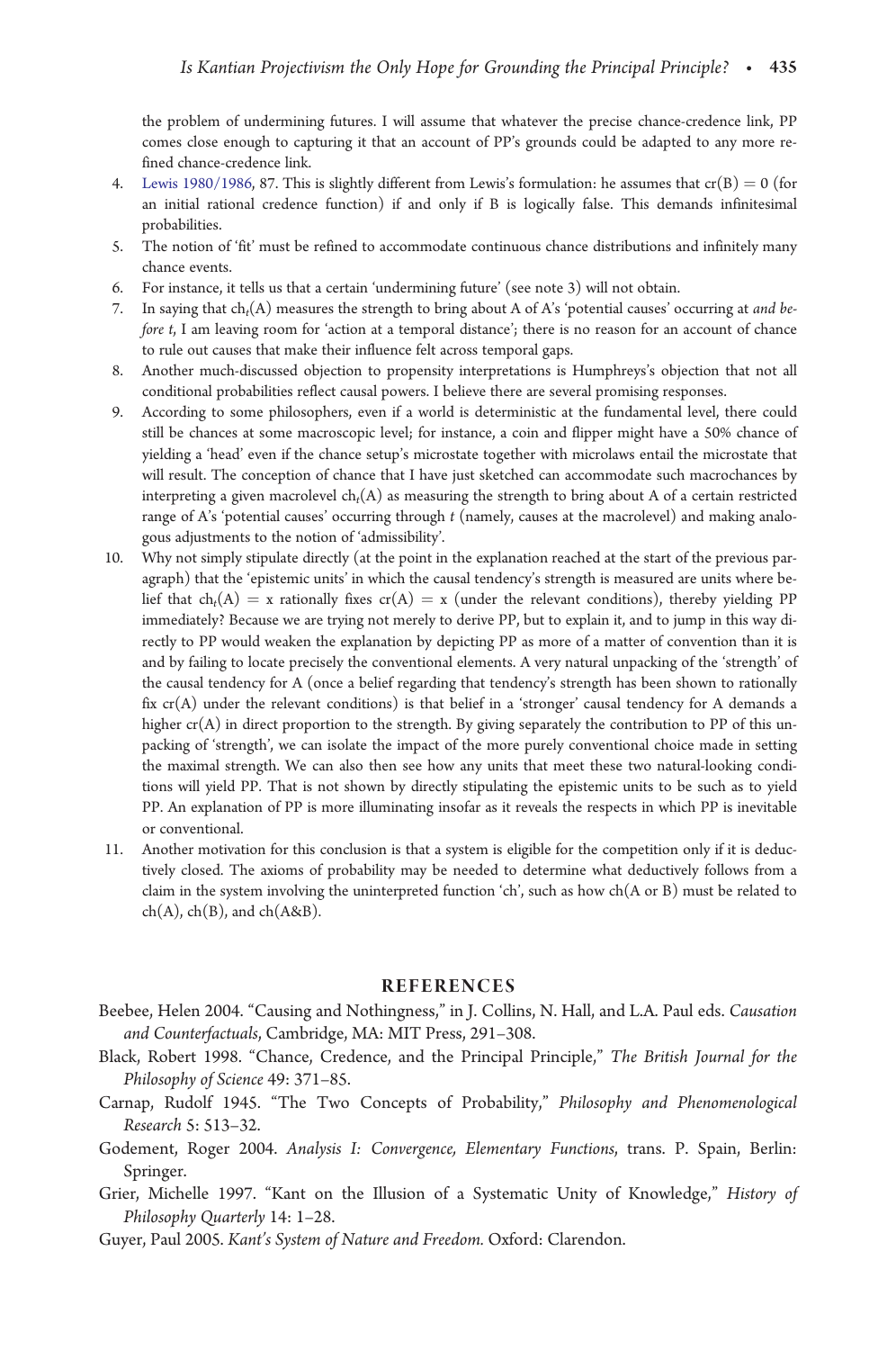<span id="page-13-0"></span>the problem of undermining futures. I will assume that whatever the precise chance-credence link, PP comes close enough to capturing it that an account of PP's grounds could be adapted to any more refined chance-credence link.

- 4. [Lewis 1980/1986](#page-14-0), 87. This is slightly different from Lewis's formulation: he assumes that  $cr(B) = 0$  (for an initial rational credence function) if and only if B is logically false. This demands infinitesimal probabilities.
- 5. The notion of 'fit' must be refined to accommodate continuous chance distributions and infinitely many chance events.
- 6. For instance, it tells us that a certain 'undermining future' (see note 3) will not obtain.
- 7. In saying that  $ch_t(A)$  measures the strength to bring about A of A's 'potential causes' occurring at and before t, I am leaving room for 'action at a temporal distance'; there is no reason for an account of chance to rule out causes that make their influence felt across temporal gaps.
- 8. Another much-discussed objection to propensity interpretations is Humphreys's objection that not all conditional probabilities reflect causal powers. I believe there are several promising responses.
- 9. According to some philosophers, even if a world is deterministic at the fundamental level, there could still be chances at some macroscopic level; for instance, a coin and flipper might have a 50% chance of yielding a 'head' even if the chance setup's microstate together with microlaws entail the microstate that will result. The conception of chance that I have just sketched can accommodate such macrochances by interpreting a given macrolevel  $ch<sub>t</sub>(A)$  as measuring the strength to bring about A of a certain restricted range of A's 'potential causes' occurring through t (namely, causes at the macrolevel) and making analogous adjustments to the notion of 'admissibility'.
- 10. Why not simply stipulate directly (at the point in the explanation reached at the start of the previous paragraph) that the 'epistemic units' in which the causal tendency's strength is measured are units where belief that ch<sub>t</sub>(A) = x rationally fixes cr(A) = x (under the relevant conditions), thereby yielding PP immediately? Because we are trying not merely to derive PP, but to explain it, and to jump in this way directly to PP would weaken the explanation by depicting PP as more of a matter of convention than it is and by failing to locate precisely the conventional elements. A very natural unpacking of the 'strength' of the causal tendency for A (once a belief regarding that tendency's strength has been shown to rationally fix  $cr(A)$  under the relevant conditions) is that belief in a 'stronger' causal tendency for A demands a higher  $cr(A)$  in direct proportion to the strength. By giving separately the contribution to PP of this unpacking of 'strength', we can isolate the impact of the more purely conventional choice made in setting the maximal strength. We can also then see how any units that meet these two natural-looking conditions will yield PP. That is not shown by directly stipulating the epistemic units to be such as to yield PP. An explanation of PP is more illuminating insofar as it reveals the respects in which PP is inevitable or conventional.
- 11. Another motivation for this conclusion is that a system is eligible for the competition only if it is deductively closed. The axioms of probability may be needed to determine what deductively follows from a claim in the system involving the uninterpreted function 'ch', such as how ch(A or B) must be related to  $ch(A)$ ,  $ch(B)$ , and  $ch(A&B)$ .

#### **REFERENCES**

- Beebee, Helen 2004. "Causing and Nothingness," in J. Collins, N. Hall, and L.A. Paul eds. Causation and Counterfactuals, Cambridge, MA: MIT Press, 291–308.
- Black, Robert 1998. "Chance, Credence, and the Principal Principle," The British Journal for the Philosophy of Science 49: 371–85.
- Carnap, Rudolf 1945. "The Two Concepts of Probability," Philosophy and Phenomenological Research 5: 513–32.
- Godement, Roger 2004. Analysis I: Convergence, Elementary Functions, trans. P. Spain, Berlin: Springer.
- Grier, Michelle 1997. "Kant on the Illusion of a Systematic Unity of Knowledge," History of Philosophy Quarterly 14: 1–28.
- Guyer, Paul 2005. Kant's System of Nature and Freedom. Oxford: Clarendon.